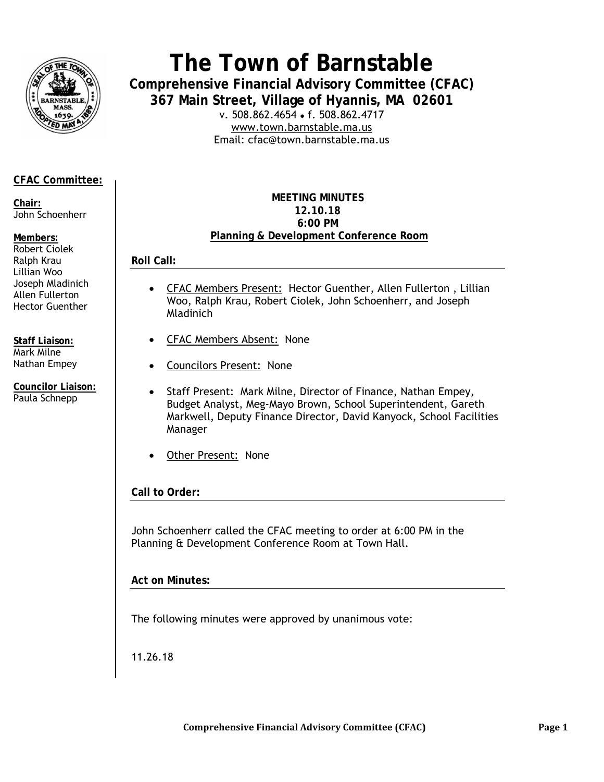

# **The Town of Barnstable**

**Comprehensive Financial Advisory Committee (CFAC) 367 Main Street, Village of Hyannis, MA 02601** 

v. 508.862.4654 • f. 508.862.4717 www.town.barnstable.ma.us Email: cfac@town.barnstable.ma.us

## **CFAC Committee:**

**Chair:**  John Schoenherr

#### **Members:**

Robert Ciolek Ralph Krau Lillian Woo Joseph Mladinich Allen Fullerton Hector Guenther

**Staff Liaison:**  Mark Milne Nathan Empey

**Councilor Liaison:**  Paula Schnepp

#### **MEETING MINUTES 12.10.18 6:00 PM Planning & Development Conference Room**

**Roll Call:** 

- CFAC Members Present: Hector Guenther, Allen Fullerton , Lillian Woo, Ralph Krau, Robert Ciolek, John Schoenherr, and Joseph Mladinich
- CFAC Members Absent: None
- Councilors Present:None
- Staff Present: Mark Milne, Director of Finance, Nathan Empey, Budget Analyst, Meg-Mayo Brown, School Superintendent, Gareth Markwell, Deputy Finance Director, David Kanyock, School Facilities Manager
- **Other Present: None**

## **Call to Order:**

John Schoenherr called the CFAC meeting to order at 6:00 PM in the Planning & Development Conference Room at Town Hall.

**Act on Minutes:** 

The following minutes were approved by unanimous vote:

11.26.18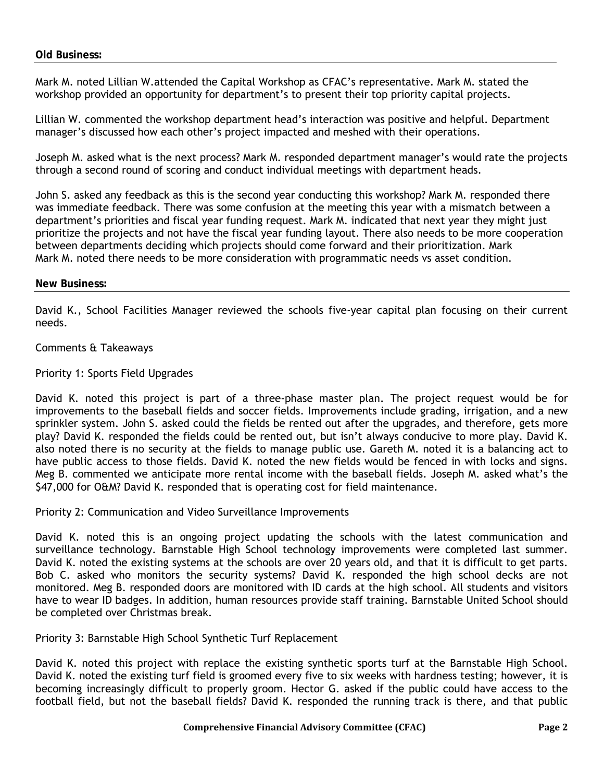Mark M. noted Lillian W.attended the Capital Workshop as CFAC's representative. Mark M. stated the workshop provided an opportunity for department's to present their top priority capital projects.

Lillian W. commented the workshop department head's interaction was positive and helpful. Department manager's discussed how each other's project impacted and meshed with their operations.

Joseph M. asked what is the next process? Mark M. responded department manager's would rate the projects through a second round of scoring and conduct individual meetings with department heads.

John S. asked any feedback as this is the second year conducting this workshop? Mark M. responded there was immediate feedback. There was some confusion at the meeting this year with a mismatch between a department's priorities and fiscal year funding request. Mark M. indicated that next year they might just prioritize the projects and not have the fiscal year funding layout. There also needs to be more cooperation between departments deciding which projects should come forward and their prioritization. Mark Mark M. noted there needs to be more consideration with programmatic needs vs asset condition.

#### **New Business:**

David K., School Facilities Manager reviewed the schools five-year capital plan focusing on their current needs.

Comments & Takeaways

Priority 1: Sports Field Upgrades

David K. noted this project is part of a three-phase master plan. The project request would be for improvements to the baseball fields and soccer fields. Improvements include grading, irrigation, and a new sprinkler system. John S. asked could the fields be rented out after the upgrades, and therefore, gets more play? David K. responded the fields could be rented out, but isn't always conducive to more play. David K. also noted there is no security at the fields to manage public use. Gareth M. noted it is a balancing act to have public access to those fields. David K. noted the new fields would be fenced in with locks and signs. Meg B. commented we anticipate more rental income with the baseball fields. Joseph M. asked what's the \$47,000 for O&M? David K. responded that is operating cost for field maintenance.

Priority 2: Communication and Video Surveillance Improvements

David K. noted this is an ongoing project updating the schools with the latest communication and surveillance technology. Barnstable High School technology improvements were completed last summer. David K. noted the existing systems at the schools are over 20 years old, and that it is difficult to get parts. Bob C. asked who monitors the security systems? David K. responded the high school decks are not monitored. Meg B. responded doors are monitored with ID cards at the high school. All students and visitors have to wear ID badges. In addition, human resources provide staff training. Barnstable United School should be completed over Christmas break.

Priority 3: Barnstable High School Synthetic Turf Replacement

David K. noted this project with replace the existing synthetic sports turf at the Barnstable High School. David K. noted the existing turf field is groomed every five to six weeks with hardness testing; however, it is becoming increasingly difficult to properly groom. Hector G. asked if the public could have access to the football field, but not the baseball fields? David K. responded the running track is there, and that public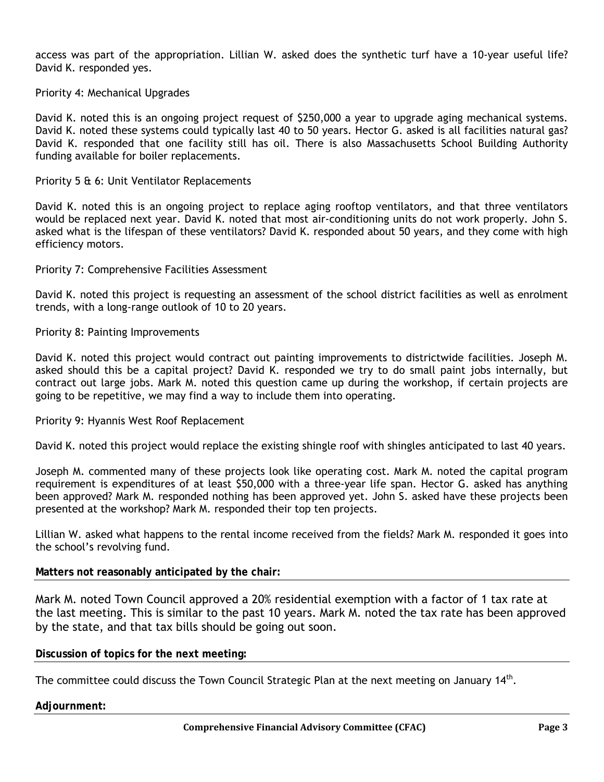access was part of the appropriation. Lillian W. asked does the synthetic turf have a 10-year useful life? David K. responded yes.

Priority 4: Mechanical Upgrades

David K. noted this is an ongoing project request of \$250,000 a year to upgrade aging mechanical systems. David K. noted these systems could typically last 40 to 50 years. Hector G. asked is all facilities natural gas? David K. responded that one facility still has oil. There is also Massachusetts School Building Authority funding available for boiler replacements.

#### Priority 5 & 6: Unit Ventilator Replacements

David K. noted this is an ongoing project to replace aging rooftop ventilators, and that three ventilators would be replaced next year. David K. noted that most air-conditioning units do not work properly. John S. asked what is the lifespan of these ventilators? David K. responded about 50 years, and they come with high efficiency motors.

Priority 7: Comprehensive Facilities Assessment

David K. noted this project is requesting an assessment of the school district facilities as well as enrolment trends, with a long-range outlook of 10 to 20 years.

Priority 8: Painting Improvements

David K. noted this project would contract out painting improvements to districtwide facilities. Joseph M. asked should this be a capital project? David K. responded we try to do small paint jobs internally, but contract out large jobs. Mark M. noted this question came up during the workshop, if certain projects are going to be repetitive, we may find a way to include them into operating.

Priority 9: Hyannis West Roof Replacement

David K. noted this project would replace the existing shingle roof with shingles anticipated to last 40 years.

Joseph M. commented many of these projects look like operating cost. Mark M. noted the capital program requirement is expenditures of at least \$50,000 with a three-year life span. Hector G. asked has anything been approved? Mark M. responded nothing has been approved yet. John S. asked have these projects been presented at the workshop? Mark M. responded their top ten projects.

Lillian W. asked what happens to the rental income received from the fields? Mark M. responded it goes into the school's revolving fund.

#### **Matters not reasonably anticipated by the chair:**

Mark M. noted Town Council approved a 20% residential exemption with a factor of 1 tax rate at the last meeting. This is similar to the past 10 years. Mark M. noted the tax rate has been approved by the state, and that tax bills should be going out soon.

**Discussion of topics for the next meeting:** 

The committee could discuss the Town Council Strategic Plan at the next meeting on January 14<sup>th</sup>.

#### **Adjournment:**